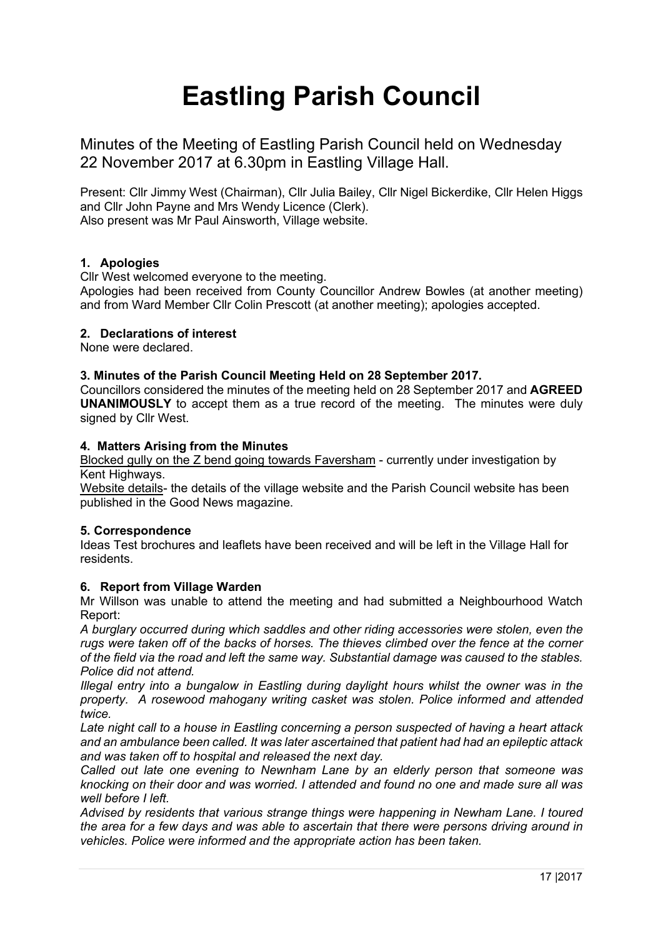# **Eastling Parish Council**

Minutes of the Meeting of Eastling Parish Council held on Wednesday 22 November 2017 at 6.30pm in Eastling Village Hall.

Present: Cllr Jimmy West (Chairman), Cllr Julia Bailey, Cllr Nigel Bickerdike, Cllr Helen Higgs and Cllr John Payne and Mrs Wendy Licence (Clerk). Also present was Mr Paul Ainsworth, Village website.

# **1. Apologies**

Cllr West welcomed everyone to the meeting.

Apologies had been received from County Councillor Andrew Bowles (at another meeting) and from Ward Member Cllr Colin Prescott (at another meeting); apologies accepted.

# **2. Declarations of interest**

None were declared.

## **3. Minutes of the Parish Council Meeting Held on 28 September 2017.**

Councillors considered the minutes of the meeting held on 28 September 2017 and **AGREED UNANIMOUSLY** to accept them as a true record of the meeting. The minutes were duly signed by Cllr West.

## **4. Matters Arising from the Minutes**

Blocked gully on the Z bend going towards Faversham - currently under investigation by Kent Highways.

Website details- the details of the village website and the Parish Council website has been published in the Good News magazine.

#### **5. Correspondence**

Ideas Test brochures and leaflets have been received and will be left in the Village Hall for residents.

# **6. Report from Village Warden**

Mr Willson was unable to attend the meeting and had submitted a Neighbourhood Watch Report:

*A burglary occurred during which saddles and other riding accessories were stolen, even the rugs were taken off of the backs of horses. The thieves climbed over the fence at the corner of the field via the road and left the same way. Substantial damage was caused to the stables. Police did not attend.*

*Illegal entry into a bungalow in Eastling during daylight hours whilst the owner was in the property. A rosewood mahogany writing casket was stolen. Police informed and attended twice.* 

*Late night call to a house in Eastling concerning a person suspected of having a heart attack and an ambulance been called. It was later ascertained that patient had had an epileptic attack and was taken off to hospital and released the next day.*

*Called out late one evening to Newnham Lane by an elderly person that someone was knocking on their door and was worried. I attended and found no one and made sure all was well before I left.*

*Advised by residents that various strange things were happening in Newham Lane. I toured the area for a few days and was able to ascertain that there were persons driving around in vehicles. Police were informed and the appropriate action has been taken.*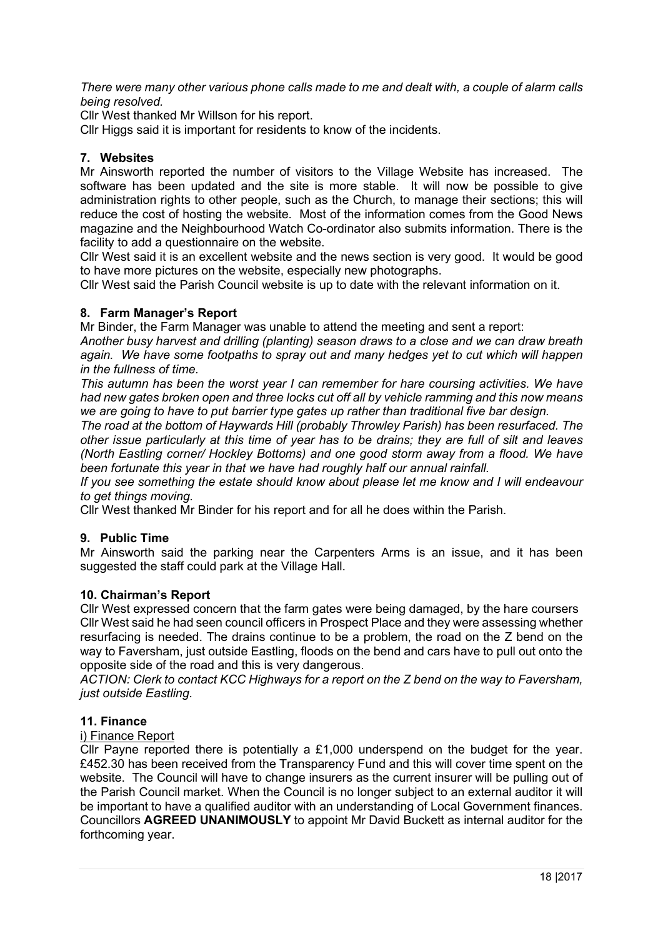*There were many other various phone calls made to me and dealt with, a couple of alarm calls being resolved.*

Cllr West thanked Mr Willson for his report.

Cllr Higgs said it is important for residents to know of the incidents.

# **7. Websites**

Mr Ainsworth reported the number of visitors to the Village Website has increased. The software has been updated and the site is more stable. It will now be possible to give administration rights to other people, such as the Church, to manage their sections; this will reduce the cost of hosting the website. Most of the information comes from the Good News magazine and the Neighbourhood Watch Co-ordinator also submits information. There is the facility to add a questionnaire on the website.

Cllr West said it is an excellent website and the news section is very good. It would be good to have more pictures on the website, especially new photographs.

Cllr West said the Parish Council website is up to date with the relevant information on it.

# **8. Farm Manager's Report**

Mr Binder, the Farm Manager was unable to attend the meeting and sent a report:

*Another busy harvest and drilling (planting) season draws to a close and we can draw breath again. We have some footpaths to spray out and many hedges yet to cut which will happen in the fullness of time.*

*This autumn has been the worst year I can remember for hare coursing activities. We have had new gates broken open and three locks cut off all by vehicle ramming and this now means we are going to have to put barrier type gates up rather than traditional five bar design.*

*The road at the bottom of Haywards Hill (probably Throwley Parish) has been resurfaced. The other issue particularly at this time of year has to be drains; they are full of silt and leaves (North Eastling corner/ Hockley Bottoms) and one good storm away from a flood. We have been fortunate this year in that we have had roughly half our annual rainfall.*

*If you see something the estate should know about please let me know and I will endeavour to get things moving.*

Cllr West thanked Mr Binder for his report and for all he does within the Parish.

# **9. Public Time**

Mr Ainsworth said the parking near the Carpenters Arms is an issue, and it has been suggested the staff could park at the Village Hall.

#### **10. Chairman's Report**

Cllr West expressed concern that the farm gates were being damaged, by the hare coursers Cllr West said he had seen council officers in Prospect Place and they were assessing whether resurfacing is needed. The drains continue to be a problem, the road on the Z bend on the way to Faversham, just outside Eastling, floods on the bend and cars have to pull out onto the opposite side of the road and this is very dangerous.

*ACTION: Clerk to contact KCC Highways for a report on the Z bend on the way to Faversham, just outside Eastling.*

#### **11. Finance**

#### i) Finance Report

Cllr Payne reported there is potentially a £1,000 underspend on the budget for the year. £452.30 has been received from the Transparency Fund and this will cover time spent on the website. The Council will have to change insurers as the current insurer will be pulling out of the Parish Council market. When the Council is no longer subject to an external auditor it will be important to have a qualified auditor with an understanding of Local Government finances. Councillors **AGREED UNANIMOUSLY** to appoint Mr David Buckett as internal auditor for the forthcoming year.